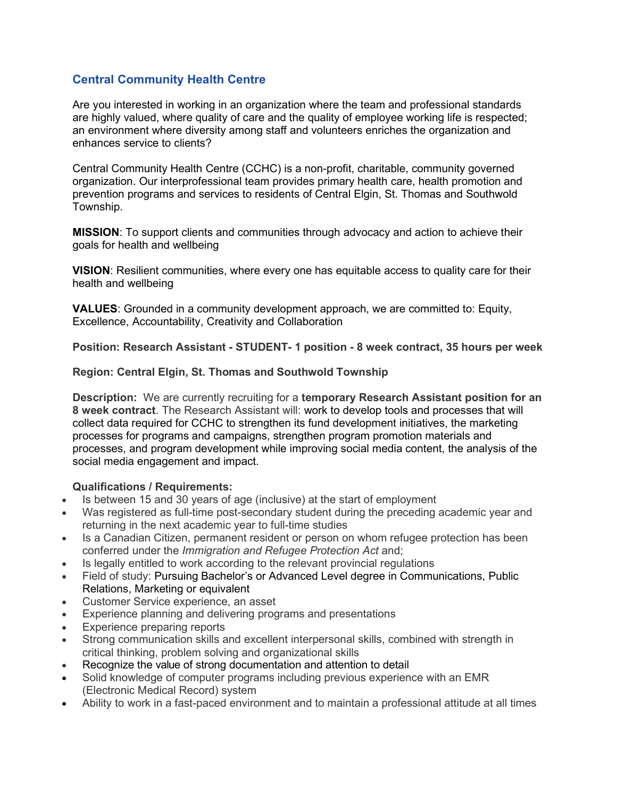## Central Community Health Centre

Are you interested in working in an organization where the team and professional standards are highly valued, where quality of care and the quality of employee working life is respected; an environment where diversity among staff and volunteers enriches the organization and enhances service to clients?

Central Community Health Centre (CCHC) is a non-profit, charitable, community governed organization. Our interprofessional team provides primary health care, health promotion and prevention programs and services to residents of Central Elgin, St. Thomas and Southwold Township.

MISSION: To support clients and communities through advocacy and action to achieve their goals for health and wellbeing

VISION: Resilient communities, where every one has equitable access to quality care for their health and wellbeing

VALUES: Grounded in a community development approach, we are committed to: Equity, Excellence, Accountability, Creativity and Collaboration

Position: Research Assistant - STUDENT- 1 position - 8 week contract, 35 hours per week

## Region: Central Elgin, St. Thomas and Southwold Township

Description: We are currently recruiting for a temporary Research Assistant position for an 8 week contract. The Research Assistant will: work to develop tools and processes that will collect data required for CCHC to strengthen its fund development initiatives, the marketing processes for programs and campaigns, strengthen program promotion materials and processes, and program development while improving social media content, the analysis of the social media engagement and impact.

## Qualifications / Requirements:

- Is between 15 and 30 years of age (inclusive) at the start of employment
- Was registered as full-time post-secondary student during the preceding academic year and returning in the next academic year to full-time studies
- Is a Canadian Citizen, permanent resident or person on whom refugee protection has been conferred under the Immigration and Refugee Protection Act and;
- Is legally entitled to work according to the relevant provincial regulations
- Field of study: Pursuing Bachelor's or Advanced Level degree in Communications, Public Relations, Marketing or equivalent
- Customer Service experience, an asset
- Experience planning and delivering programs and presentations
- Experience preparing reports
- Strong communication skills and excellent interpersonal skills, combined with strength in critical thinking, problem solving and organizational skills
- Recognize the value of strong documentation and attention to detail
- Solid knowledge of computer programs including previous experience with an EMR (Electronic Medical Record) system
- Ability to work in a fast-paced environment and to maintain a professional attitude at all times